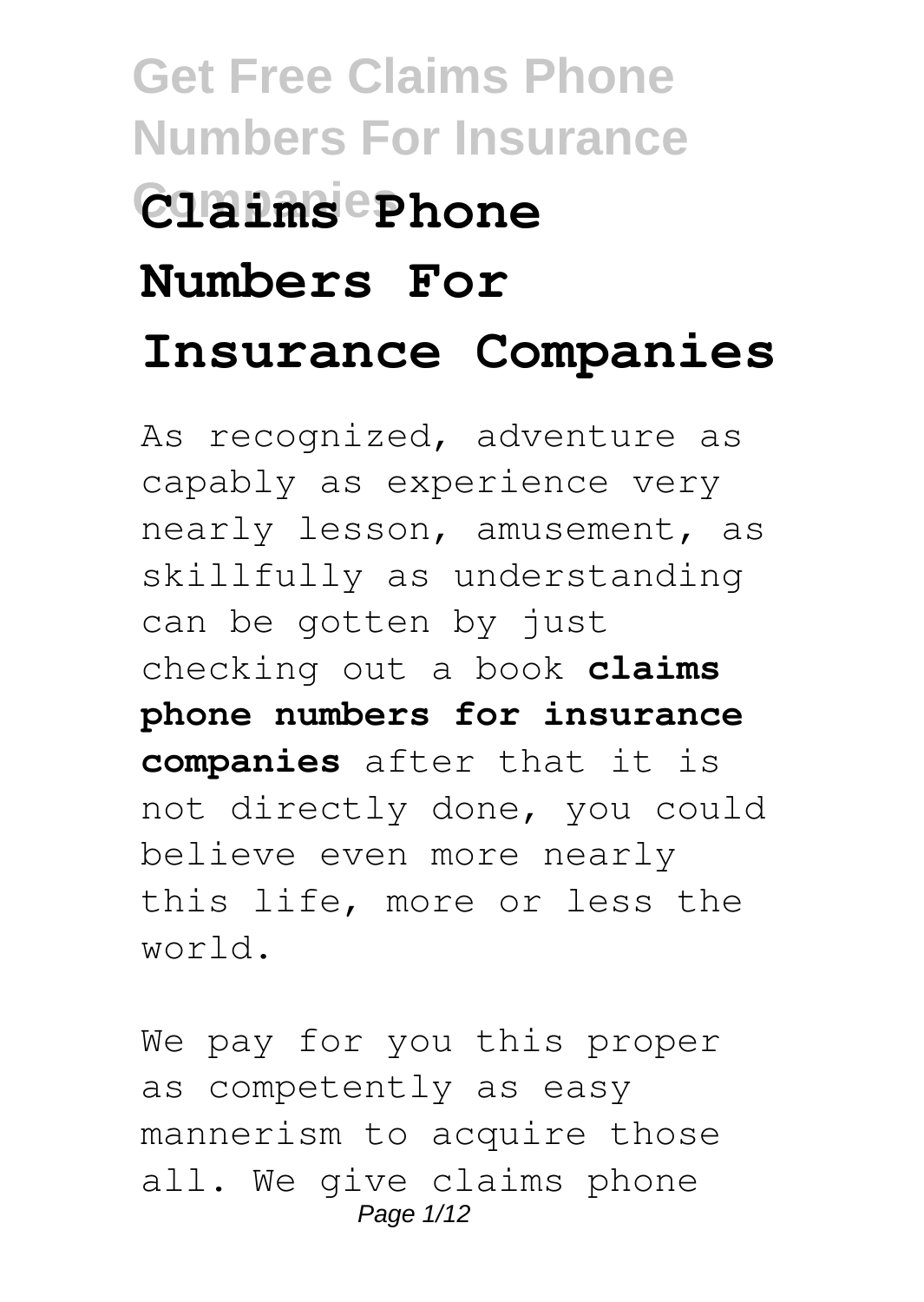# **Get Free Claims Phone Numbers For Insurance Companies Claims Phone Numbers For Insurance Companies**

As recognized, adventure as capably as experience very nearly lesson, amusement, as skillfully as understanding can be gotten by just checking out a book **claims phone numbers for insurance companies** after that it is not directly done, you could believe even more nearly this life, more or less the world.

We pay for you this proper as competently as easy mannerism to acquire those all. We give claims phone Page 1/12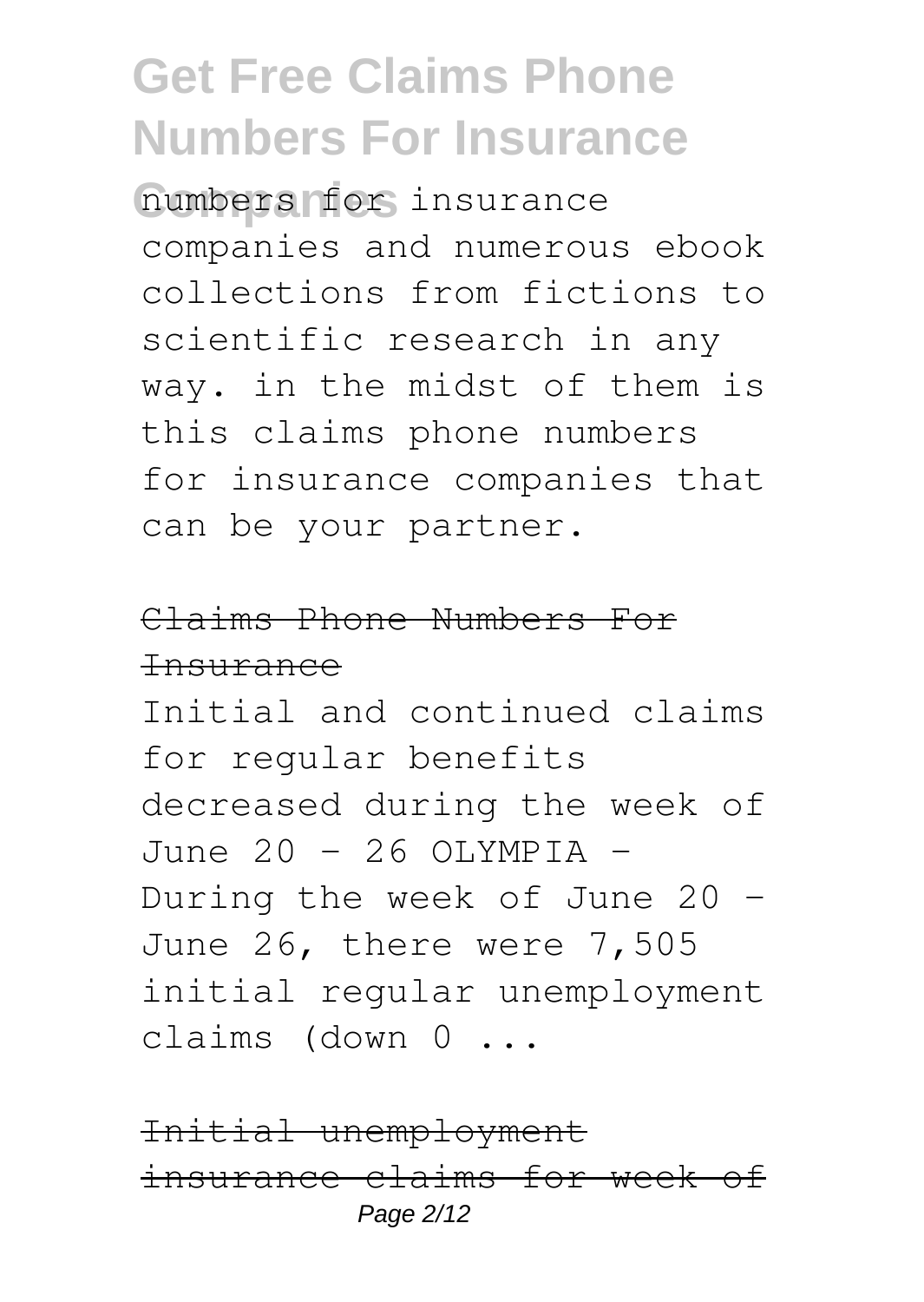**Companies** numbers for insurance companies and numerous ebook collections from fictions to scientific research in any way. in the midst of them is this claims phone numbers for insurance companies that can be your partner.

#### Claims Phone Numbers For Insurance

Initial and continued claims for regular benefits decreased during the week of June 20 - 26 OLYMPIA -During the week of June 20 – June 26, there were 7,505 initial regular unemployment claims (down 0 ...

Initial unemployment insurance claims for week of Page 2/12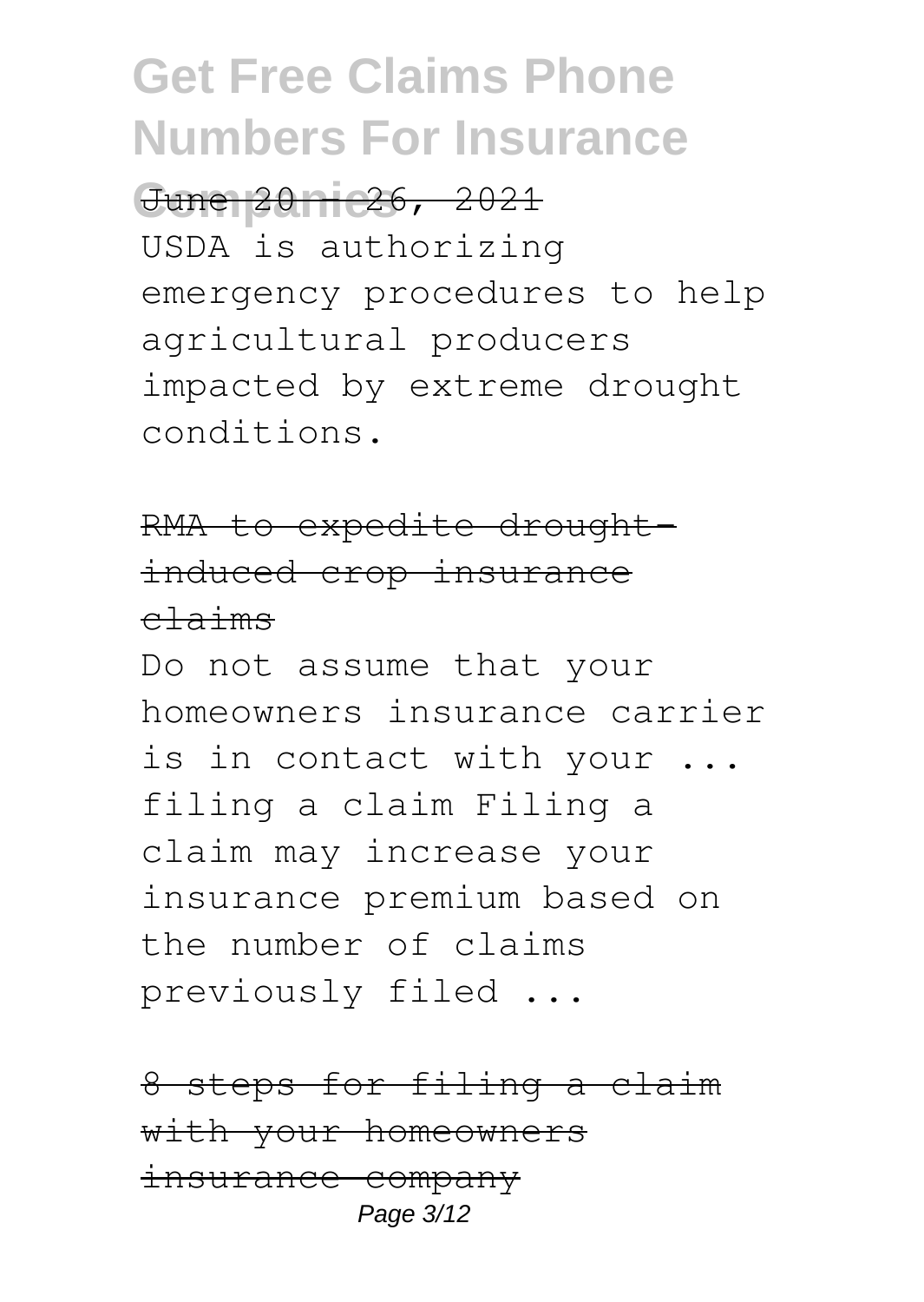#### June 20 - 26, 2021

USDA is authorizing emergency procedures to help agricultural producers impacted by extreme drought conditions.

#### RMA to expedite droughtinduced crop insurance claims

Do not assume that your homeowners insurance carrier is in contact with your ... filing a claim Filing a claim may increase your insurance premium based on the number of claims previously filed ...

8 steps for filing a claim with your homeowners insurance company Page 3/12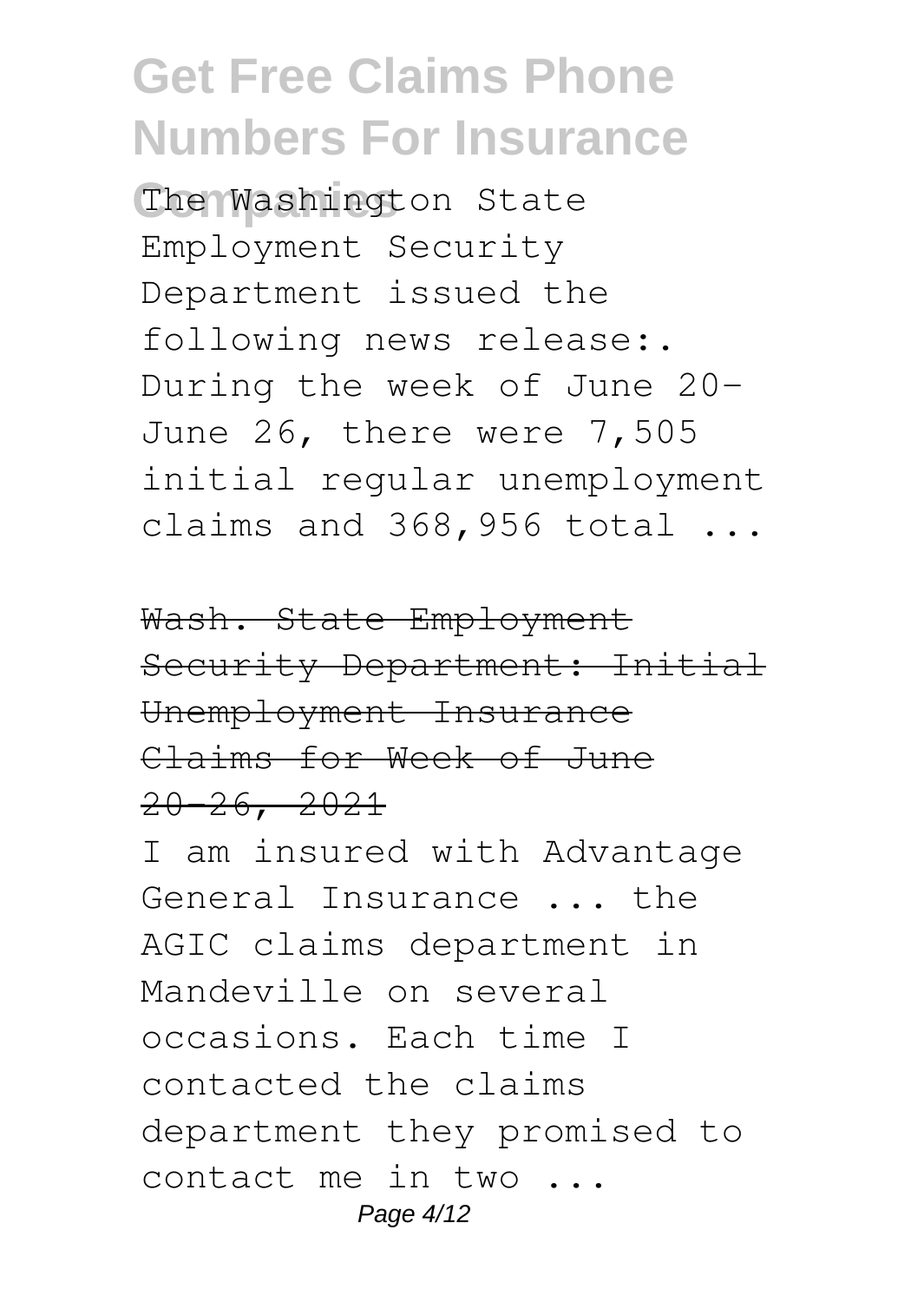The Washington State Employment Security Department issued the following news release:. During the week of June 20- June 26, there were 7,505 initial regular unemployment claims and 368,956 total ...

Wash. State Employment Security Department: Initial Unemployment Insurance Claims for Week of June  $20 - 26, 2021$ 

I am insured with Advantage General Insurance ... the AGIC claims department in Mandeville on several occasions. Each time I contacted the claims department they promised to contact me in two ... Page 4/12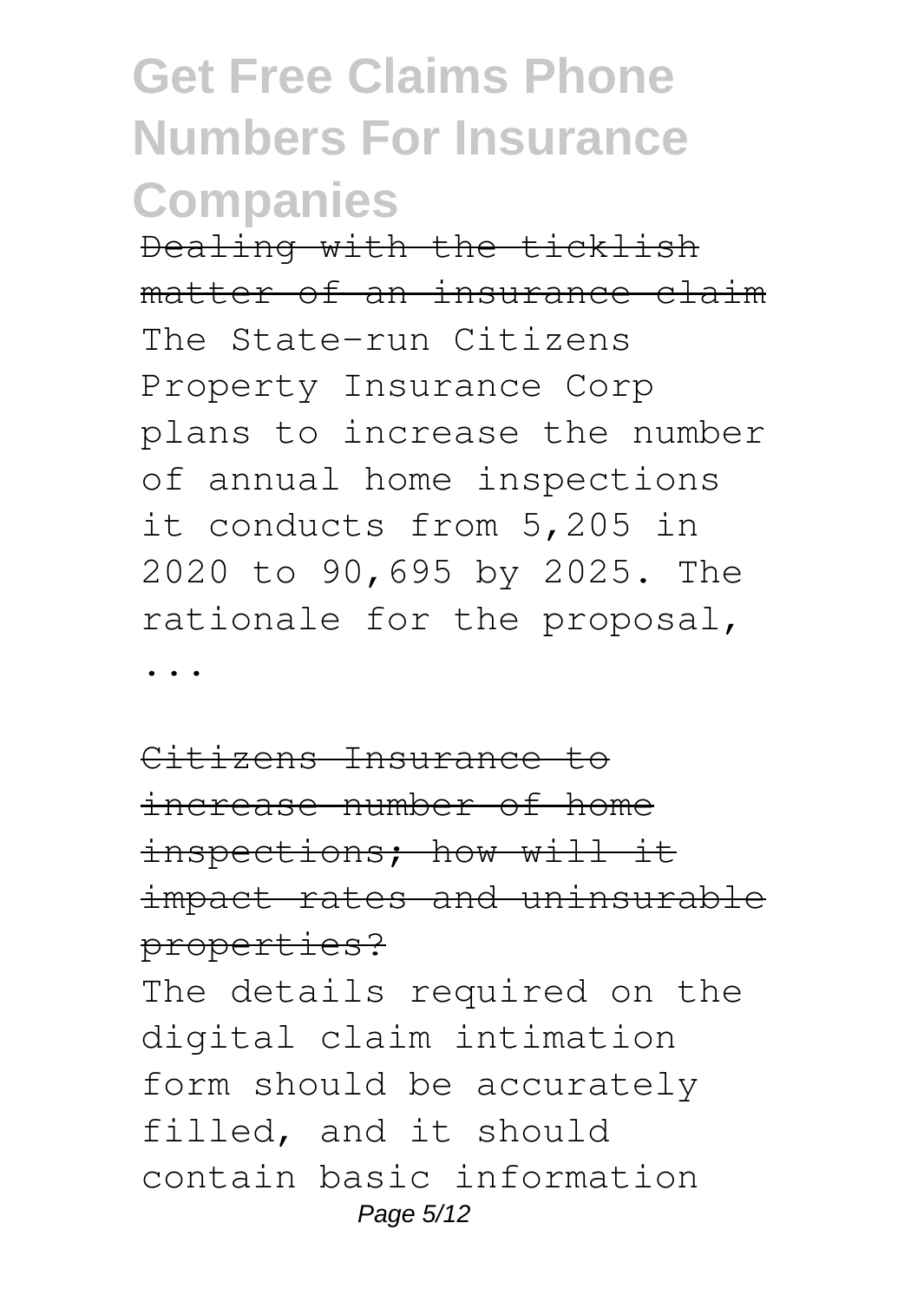Dealing with the ticklish matter of an insurance claim The State-run Citizens Property Insurance Corp plans to increase the number of annual home inspections it conducts from 5,205 in 2020 to 90,695 by 2025. The rationale for the proposal,

...

Citizens Insurance to increase number of home inspections; how will it impact rates and uninsurable properties?

The details required on the digital claim intimation form should be accurately filled, and it should contain basic information Page 5/12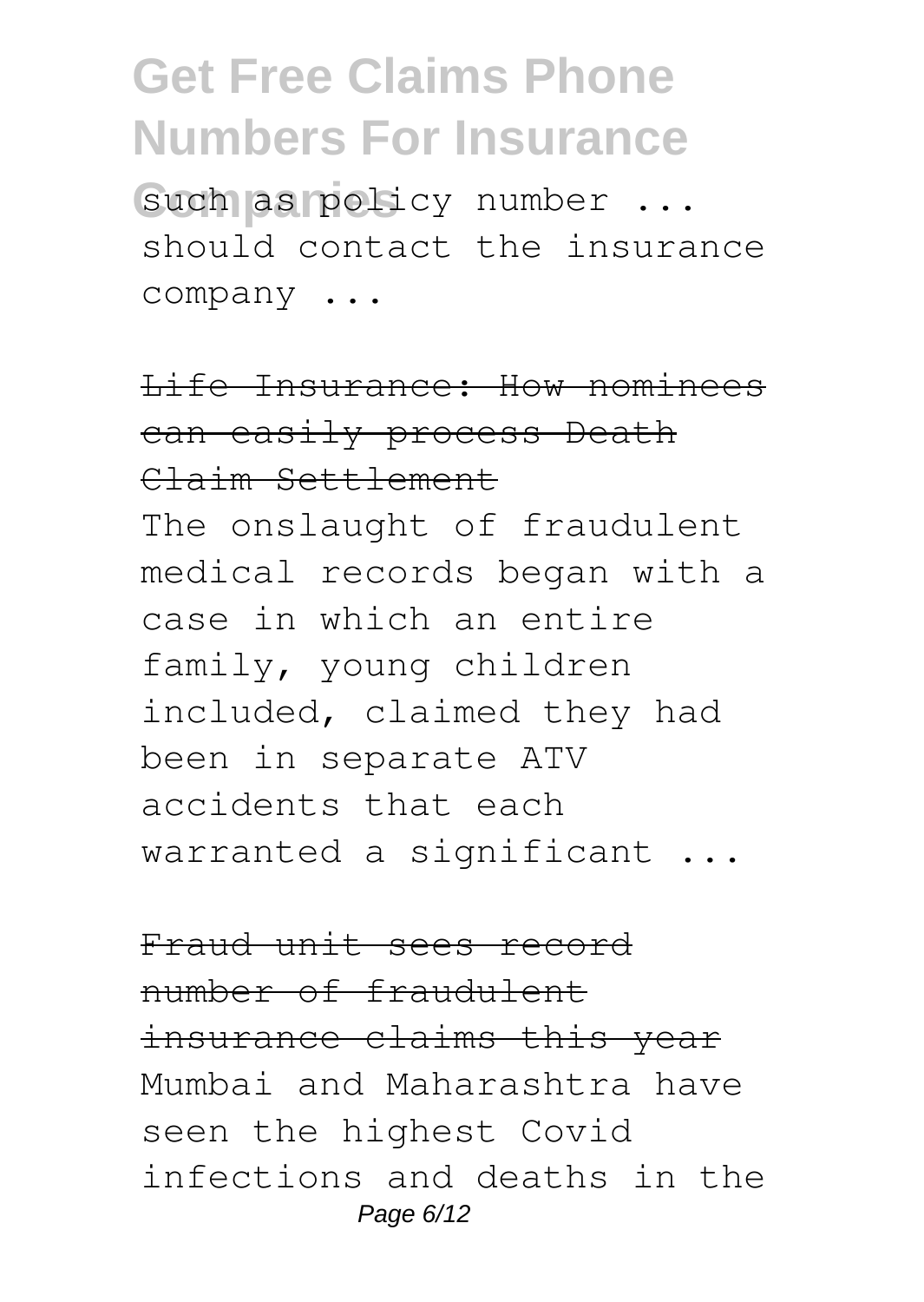such as policy number ... should contact the insurance company ...

Life Insurance: How nominees can easily process Death Claim Settlement The onslaught of fraudulent medical records began with a case in which an entire family, young children included, claimed they had been in separate ATV accidents that each warranted a significant ...

Fraud unit sees record number of fraudulent insurance claims this year Mumbai and Maharashtra have seen the highest Covid infections and deaths in the Page 6/12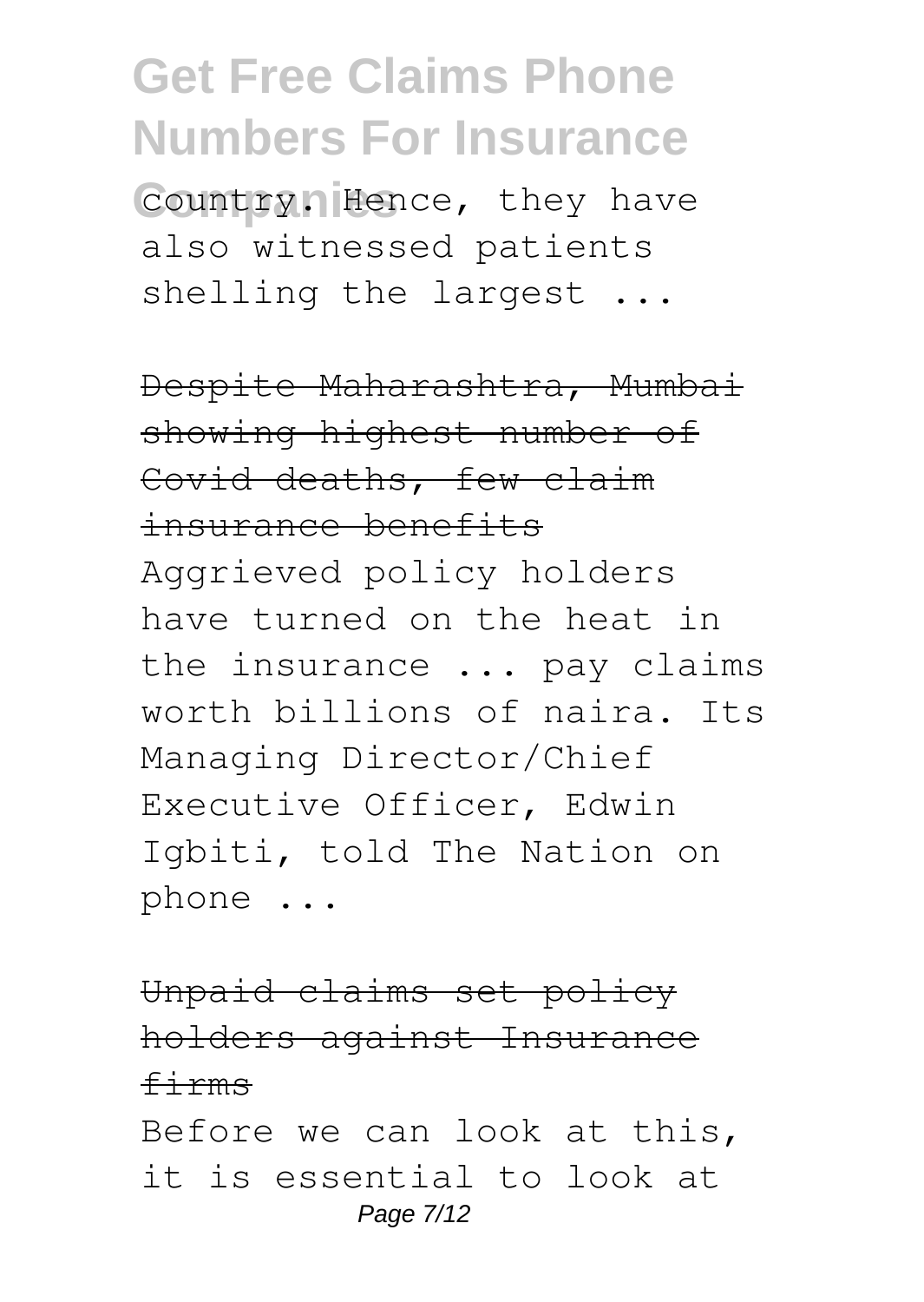**Country. Hence, they have** also witnessed patients shelling the largest ...

Despite Maharashtra, Mumbai showing highest number of Covid deaths, few claim insurance benefits Aggrieved policy holders have turned on the heat in the insurance ... pay claims worth billions of naira. Its Managing Director/Chief Executive Officer, Edwin Igbiti, told The Nation on phone ...

Unpaid claims set policy holders against Insurance firms Before we can look at this, it is essential to look at Page 7/12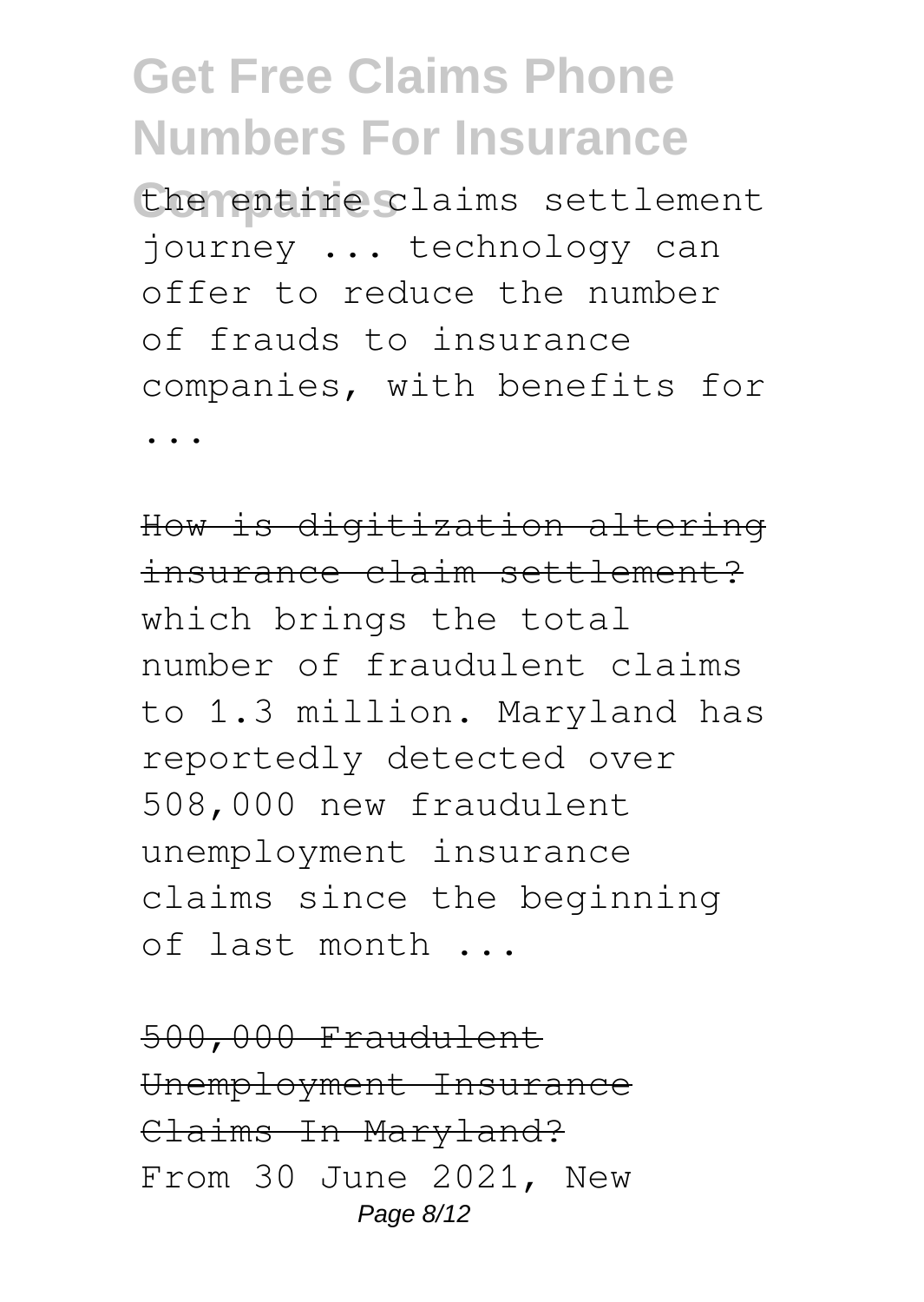**Companies** the entire claims settlement journey ... technology can offer to reduce the number of frauds to insurance companies, with benefits for ...

How is digitization altering insurance claim settlement? which brings the total number of fraudulent claims to 1.3 million. Maryland has reportedly detected over 508,000 new fraudulent unemployment insurance claims since the beginning of last month ...

500,000 Fraudulent Unemployment Insurance Claims In Maryland? From 30 June 2021, New Page 8/12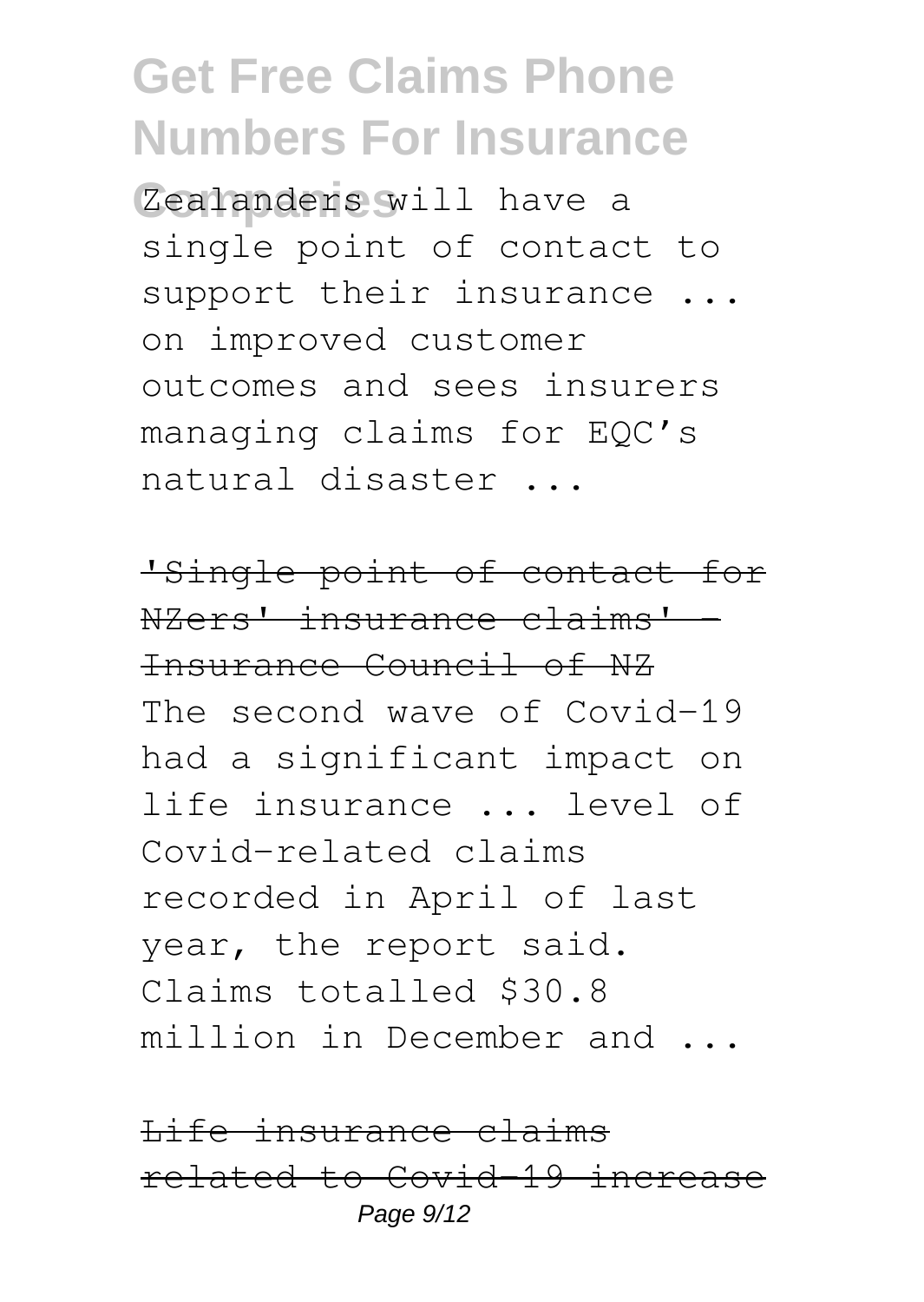**Companies** Zealanders will have a single point of contact to support their insurance ... on improved customer outcomes and sees insurers managing claims for EQC's natural disaster ...

'Single point of contact for NZers' insurance claims' Insurance Council of NZ The second wave of Covid-19 had a significant impact on life insurance ... level of Covid-related claims recorded in April of last year, the report said. Claims totalled \$30.8 million in December and ...

Life insurance claims related to Covid-19 increas Page 9/12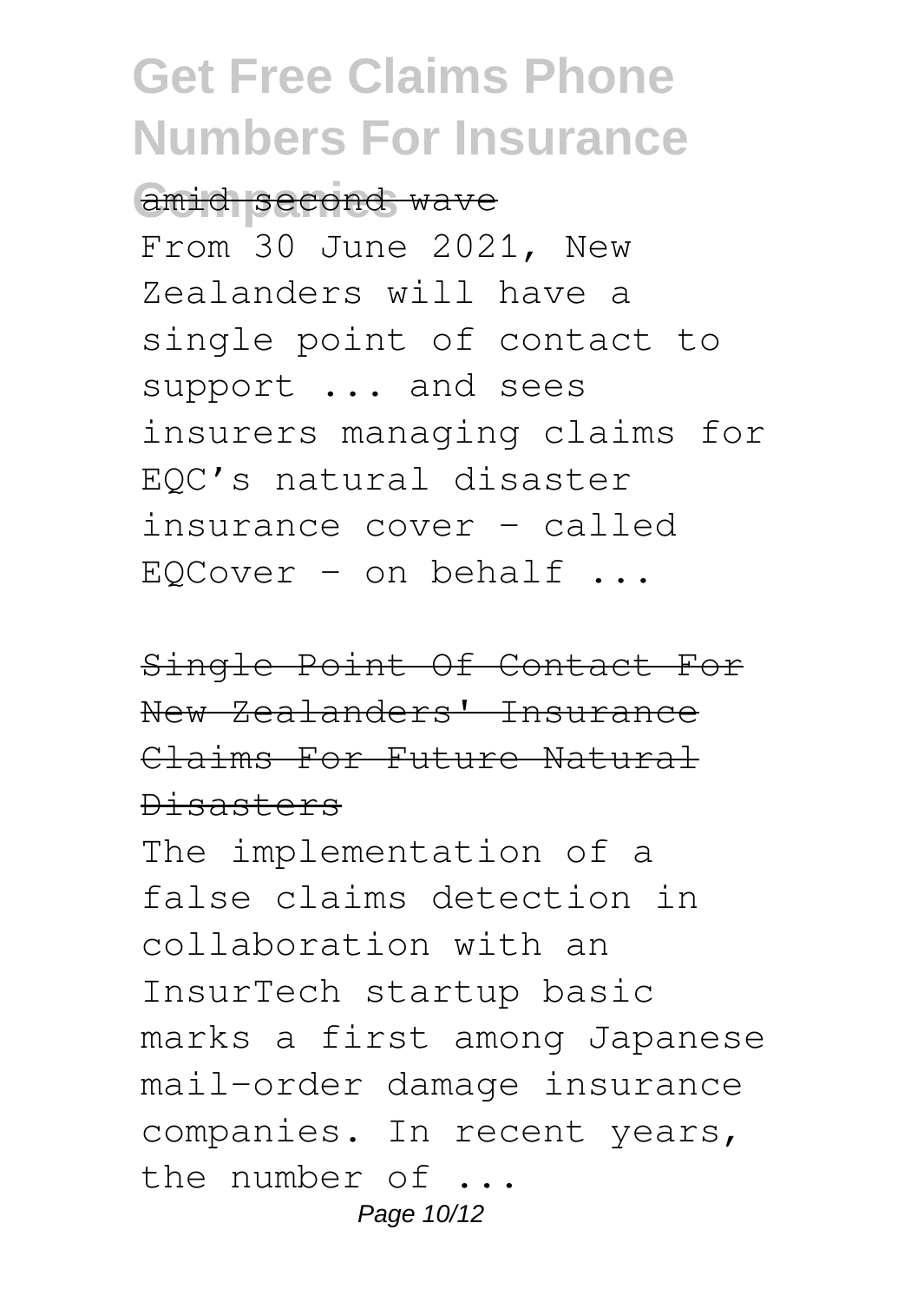amid second wave

From 30 June 2021, New Zealanders will have a single point of contact to support ... and sees insurers managing claims for EQC's natural disaster insurance cover - called  $EOCover - on behalf ...$ 

Single Point Of Contact For New Zealanders' Insurance Claims For Future Natural Disasters

The implementation of a false claims detection in collaboration with an InsurTech startup basic marks a first among Japanese mail-order damage insurance companies. In recent years, the number of ... Page 10/12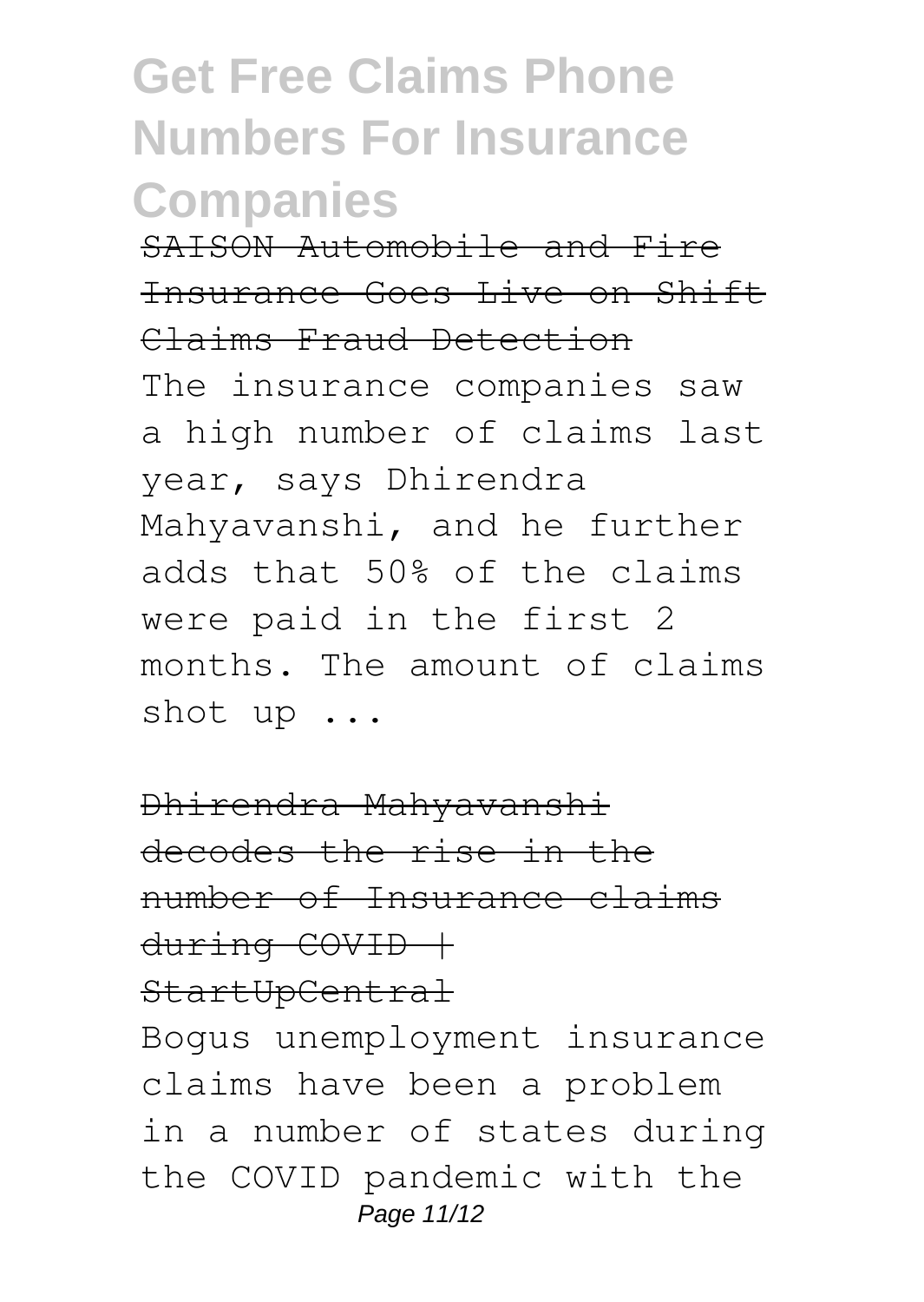SAISON Automobile and Fire Insurance Goes Live on Shift Claims Fraud Detection

The insurance companies saw a high number of claims last year, says Dhirendra Mahyavanshi, and he further adds that 50% of the claims were paid in the first 2 months. The amount of claims shot up ...

Dhirendra Mahyavanshi decodes the rise in the number of Insurance claims  $d$ uring  $COVID$   $+$ StartUpCentral

Bogus unemployment insurance claims have been a problem in a number of states during the COVID pandemic with the Page 11/12